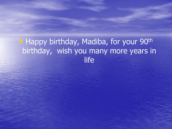#### • Happy birthday, Madiba, for your 90<sup>th</sup> birthday, wish you many more years in life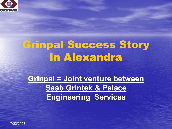

## Grinpal Success Story in Alexandra

### **Grinpal = Joint venture between Saab Grintek & Palace Engineering Services**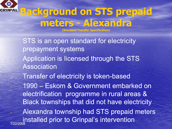

## **Background on STS prepaid meters - Alexandra**

**(Standard Transfer Specification)**

7/22/2008 **STS** is an open standard for electricity prepayment systems • Application is Iicensed through the STS Association • Transfer of electricity is token-based • 1990 – Eskom & Government embarked on electrification programme in rural areas & Black townships that did not have electricity • Alexandra township had STS prepaid meters installed prior to Grinpal's intervention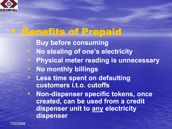

### • Benefits of Prepaid

- **Buy before consuming** • **No stealing of one's electricity** • **Physical meter reading is unnecessary**  • **No monthly billings** • **Less time spent on defaulting customers i.t.o. cutoffs** • **Non-dispenser specific tokens, once**
- **created, can be used from a credit dispenser unit to any electricity dispenser**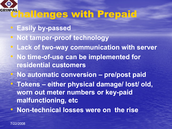

## **RIPAL**<br>Challenges with Prepaid

- **Easily by-passed**
- **Not tamper-proof technology**
- **Lack of two-way communication with server**
- **No time-of-use can be implemented for residential customers**
	- **No automatic conversion – pre/post paid**

• **Tokens – either physical damage/ lost/ old, worn out meter numbers or key-paid malfunctioning, etc**

• **Non-technical losses were on the rise**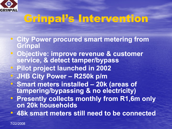

## Grinpal's Intervention

- **City Power procured smart metering from Grinpal**
- **Objective: improve revenue & customer service, & detect tamper/bypass** 
	- **Pilot project launched in 2002**
	- **JHB City Power – R250k p/m**
- **Smart meters installed – 20k (areas of tampering/bypassing & no electricity)**
- **Presently collects monthly from R1,6m only on 20k households**

• **48k smart meters still need to be connected**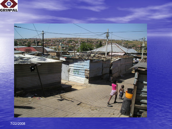



7/22/2008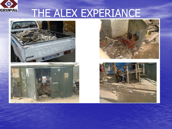

## THE ALEX EXPERIANCE





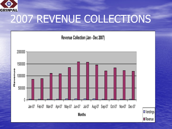

## 2007 REVENUE COLLECTIONS

**Revenue Collection (Jan - Dec 2007)**

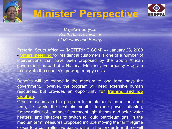

## **Minister' Perspective**



*Buyelwa Sonjica, South Africa's minister of Minerals and Energy*

Pretoria, South Africa --- (METERING.COM) --- January 28, 2008 - **Smart metering** for residential customers is one of a number of interventions that have been proposed by the South African government as part of a National Electricity Emergency Program to alleviate the country's growing energy crisis.

Benefits will be reaped in the medium to long term, says the government. However, the program will need extensive human resources, but provides an opportunity **for training and job creation**.

Other measures in the program for implementation in the short term, i.e. within the next six months, include power rationing, further rollout of compact fluorescent light fittings and solar water heaters, and initiatives to switch to liquid petroleum gas. In the medium term measures proposed include moving the tariff regime closer to a cost reflective basis, while in the longer term there will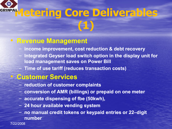

# **Metering Core Deliverables (1)**

#### • **Revenue Management**

- **income improvement, cost reduction & debt recovery**
- **Integrated Geyser load switch option in the display unit for load management saves on Power Bill**
- **Time of use tariff (reduces transaction costs)**

#### • **Customer Services**

- **reduction of customer complaints**
- **conversion of AMR (billings) or prepaid on one meter**
- **accurate dispensing of fbe (50kwh),**
- **24 hour available vending system**
- **no manual credit tokens or keypaid entries or 22–digit number**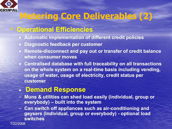

### **Metering Core Deliverables (2)**

#### • **Operational Efficiencies**

- **Automatic implementation of different credit policies**
- **Diagnostic feedback per customer**
- **Remote-disconnect and pay out or transfer of credit balance when consumer moves**
- **Centralised database with full traceability on all transactions on the whole system on a real-time basis including vending, usage of water, usage of electricity, credit status per customer**

#### **Demand Response**

- **Muns & utilities can shed load easily (individual, group or everybody) – built into the system**
- **Can switch off appliances such as air-conditioning and geysers (Individual, group or everybody) - optional load switches**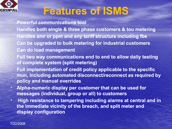

## **Features of ISMS**

- **Powerful communications tool**
- **Handles both single & three phase customers & tou metering**
- **Handles amr or ppm and any tariff structure including fbe**
- **Can be upgraded to bulk metering for industrial customers**
- **Can do load management**
- **Full two way communications end to end to allow daily testing of complete system (split metering)**
	- **Full implementation of credit policy applicable to the specific mun, including automated disconnect/reconnect as required by policy and manual overrides**
- **Alpha-numeric display per customer that can be used for messages (individual, group or all) to customers**
- **High resistance to tampering including alarms at central and in the immediate vicinity of the breach, and split meter and display configuration**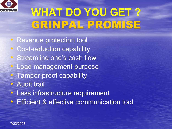

# **WHAT DO YOU GET ?** GRINPAL PROMISE

- Revenue protection tool
- Cost-reduction capability
- Streamline one's cash flow
- Load management purpose **• Tamper-proof capability**
- Audit trail
- Less infrastructure requirement
- Efficient & effective communication tool